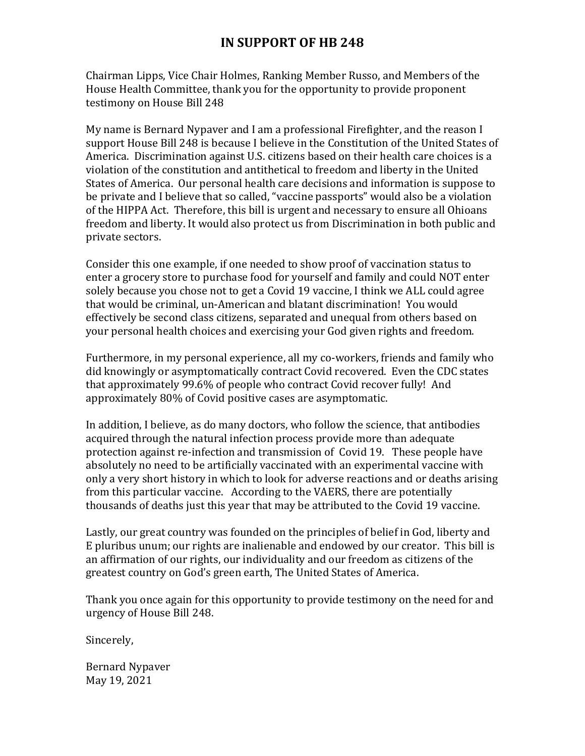Chairman Lipps, Vice Chair Holmes, Ranking Member Russo, and Members of the House Health Committee, thank you for the opportunity to provide proponent testimony on House Bill 248

My name is Bernard Nypaver and I am a professional Firefighter, and the reason I support House Bill 248 is because I believe in the Constitution of the United States of America. Discrimination against U.S. citizens based on their health care choices is a violation of the constitution and antithetical to freedom and liberty in the United States of America. Our personal health care decisions and information is suppose to be private and I believe that so called, "vaccine passports" would also be a violation of the HIPPA Act. Therefore, this bill is urgent and necessary to ensure all Ohioans freedom and liberty. It would also protect us from Discrimination in both public and private sectors.

Consider this one example, if one needed to show proof of vaccination status to enter a grocery store to purchase food for yourself and family and could NOT enter solely because you chose not to get a Covid 19 vaccine, I think we ALL could agree that would be criminal, un-American and blatant discrimination! You would effectively be second class citizens, separated and unequal from others based on your personal health choices and exercising your God given rights and freedom.

Furthermore, in my personal experience, all my co-workers, friends and family who did knowingly or asymptomatically contract Covid recovered. Even the CDC states that approximately 99.6% of people who contract Covid recover fully! And approximately 80% of Covid positive cases are asymptomatic.

In addition, I believe, as do many doctors, who follow the science, that antibodies acquired through the natural infection process provide more than adequate protection against re-infection and transmission of Covid 19. These people have absolutely no need to be artificially vaccinated with an experimental vaccine with only a very short history in which to look for adverse reactions and or deaths arising from this particular vaccine. According to the VAERS, there are potentially thousands of deaths just this year that may be attributed to the Covid 19 vaccine.

Lastly, our great country was founded on the principles of belief in God, liberty and E pluribus unum; our rights are inalienable and endowed by our creator. This bill is an affirmation of our rights, our individuality and our freedom as citizens of the greatest country on God's green earth, The United States of America.

Thank you once again for this opportunity to provide testimony on the need for and urgency of House Bill 248.

Sincerely,

Bernard Nypaver May 19, 2021